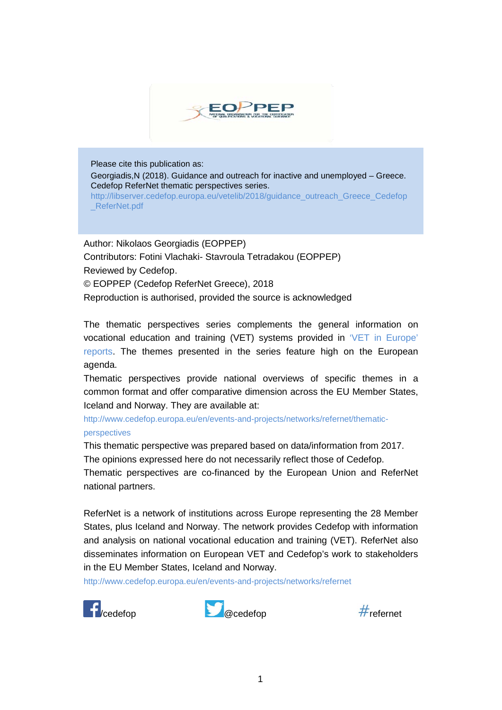

Please cite this publication as:

Georgiadis,N (2018). Guidance and outreach for inactive and unemployed – Greece. Cedefop ReferNet thematic perspectives series.

[http://libserver.cedefop.europa.eu/vetelib/2018/guidance\\_outreach\\_Greece\\_Cedefop](http://libserver.cedefop.europa.eu/vetelib/2018/guidance_outreach_Greece_Cedefop_ReferNet.pdf) ReferNet.pdf

Author: Nikolaos Georgiadis (EOPPEP) Contributors: Fotini Vlachaki- Stavroula Tetradakou (EOPPEP) Reviewed by Cedefop. © EOPPEP (Cedefop ReferNet Greece), 2018 Reproduction is authorised, provided the source is acknowledged

The thematic perspectives series complements the general information on vocational education and training (VET) systems provided in ['VET in Europe'](http://www.cedefop.europa.eu/en/publications-and-resources/country-reports/vet-in-europe-country-reports)  [reports.](http://www.cedefop.europa.eu/en/publications-and-resources/country-reports/vet-in-europe-country-reports) The themes presented in the series feature high on the European agenda.

Thematic perspectives provide national overviews of specific themes in a common format and offer comparative dimension across the EU Member States, Iceland and Norway. They are available at:

[http://www.cedefop.europa.eu/en/events-and-projects/networks/refernet/thematic](http://www.cedefop.europa.eu/en/events-and-projects/networks/refernet/thematic-perspectives)[perspectives](http://www.cedefop.europa.eu/en/events-and-projects/networks/refernet/thematic-perspectives)

This thematic perspective was prepared based on data/information from 2017.

The opinions expressed here do not necessarily reflect those of Cedefop.

Thematic perspectives are co-financed by the European Union and ReferNet national partners.

ReferNet is a network of institutions across Europe representing the 28 Member States, plus Iceland and Norway. The network provides Cedefop with information and analysis on national vocational education and training (VET). ReferNet also disseminates information on European VET and Cedefop's work to stakeholders in the EU Member States, Iceland and Norway.

<http://www.cedefop.europa.eu/en/events-and-projects/networks/refernet>





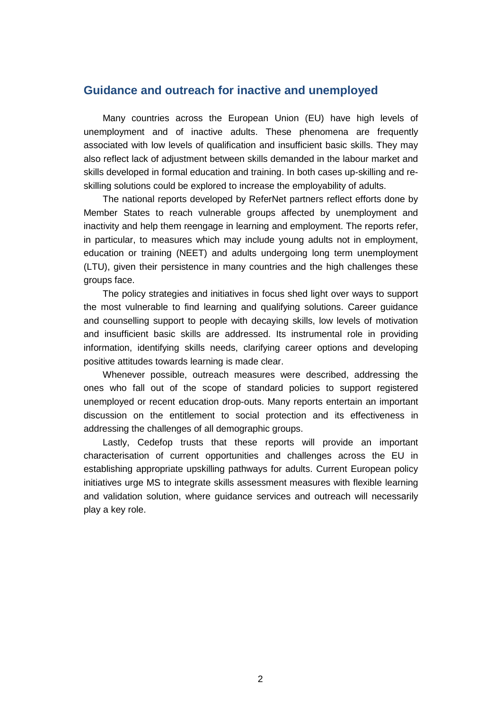#### **Guidance and outreach for inactive and unemployed**

Many countries across the European Union (EU) have high levels of unemployment and of inactive adults. These phenomena are frequently associated with low levels of qualification and insufficient basic skills. They may also reflect lack of adjustment between skills demanded in the labour market and skills developed in formal education and training. In both cases up-skilling and reskilling solutions could be explored to increase the employability of adults.

The national reports developed by ReferNet partners reflect efforts done by Member States to reach vulnerable groups affected by unemployment and inactivity and help them reengage in learning and employment. The reports refer, in particular, to measures which may include young adults not in employment, education or training (NEET) and adults undergoing long term unemployment (LTU), given their persistence in many countries and the high challenges these groups face.

The policy strategies and initiatives in focus shed light over ways to support the most vulnerable to find learning and qualifying solutions. Career guidance and counselling support to people with decaying skills, low levels of motivation and insufficient basic skills are addressed. Its instrumental role in providing information, identifying skills needs, clarifying career options and developing positive attitudes towards learning is made clear.

Whenever possible, outreach measures were described, addressing the ones who fall out of the scope of standard policies to support registered unemployed or recent education drop-outs. Many reports entertain an important discussion on the entitlement to social protection and its effectiveness in addressing the challenges of all demographic groups.

Lastly, Cedefop trusts that these reports will provide an important characterisation of current opportunities and challenges across the EU in establishing appropriate upskilling pathways for adults. Current European policy initiatives urge MS to integrate skills assessment measures with flexible learning and validation solution, where guidance services and outreach will necessarily play a key role.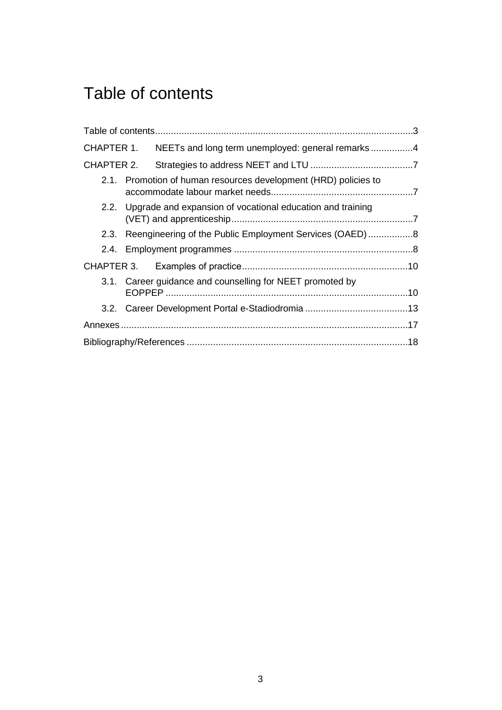# <span id="page-2-0"></span>Table of contents

|            |                                                                 | CHAPTER 1. NEETs and long term unemployed: general remarks4 |  |  |  |
|------------|-----------------------------------------------------------------|-------------------------------------------------------------|--|--|--|
| CHAPTER 2. |                                                                 |                                                             |  |  |  |
|            | 2.1. Promotion of human resources development (HRD) policies to |                                                             |  |  |  |
|            | 2.2. Upgrade and expansion of vocational education and training |                                                             |  |  |  |
|            | 2.3. Reengineering of the Public Employment Services (OAED) 8   |                                                             |  |  |  |
|            |                                                                 |                                                             |  |  |  |
|            |                                                                 |                                                             |  |  |  |
|            |                                                                 | 3.1. Career guidance and counselling for NEET promoted by   |  |  |  |
|            |                                                                 |                                                             |  |  |  |
|            |                                                                 |                                                             |  |  |  |
|            |                                                                 |                                                             |  |  |  |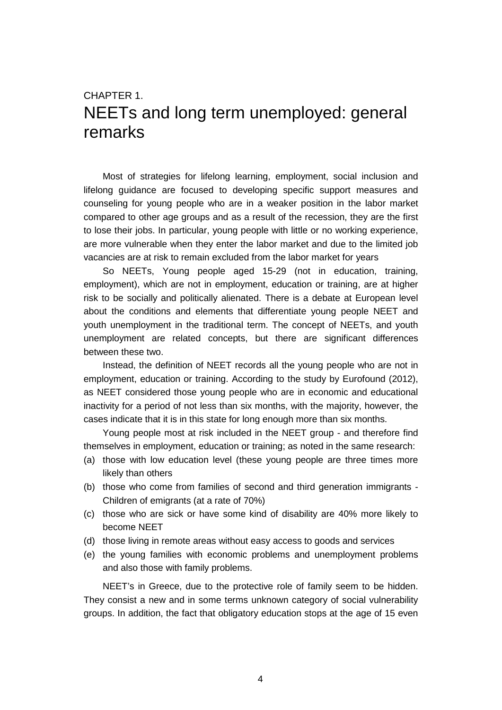## <span id="page-3-0"></span>CHAPTER 1. NEETs and long term unemployed: general remarks

Most of strategies for lifelong learning, employment, social inclusion and lifelong guidance are focused to developing specific support measures and counseling for young people who are in a weaker position in the labor market compared to other age groups and as a result of the recession, they are the first to lose their jobs. In particular, young people with little or no working experience, are more vulnerable when they enter the labor market and due to the limited job vacancies are at risk to remain excluded from the labor market for years

So NEETs, Young people aged 15-29 (not in education, training, employment), which are not in employment, education or training, are at higher risk to be socially and politically alienated. There is a debate at European level about the conditions and elements that differentiate young people NEET and youth unemployment in the traditional term. The concept of NEETs, and youth unemployment are related concepts, but there are significant differences between these two.

Instead, the definition of NEET records all the young people who are not in employment, education or training. According to the study by Eurofound (2012), as NEET considered those young people who are in economic and educational inactivity for a period of not less than six months, with the majority, however, the cases indicate that it is in this state for long enough more than six months.

Young people most at risk included in the NEET group - and therefore find themselves in employment, education or training; as noted in the same research:

- (a) those with low education level (these young people are three times more likely than others
- (b) those who come from families of second and third generation immigrants Children of emigrants (at a rate of 70%)
- (c) those who are sick or have some kind of disability are 40% more likely to become NEET
- (d) those living in remote areas without easy access to goods and services
- (e) the young families with economic problems and unemployment problems and also those with family problems.

NEET's in Greece, due to the protective role of family seem to be hidden. They consist a new and in some terms unknown category of social vulnerability groups. In addition, the fact that obligatory education stops at the age of 15 even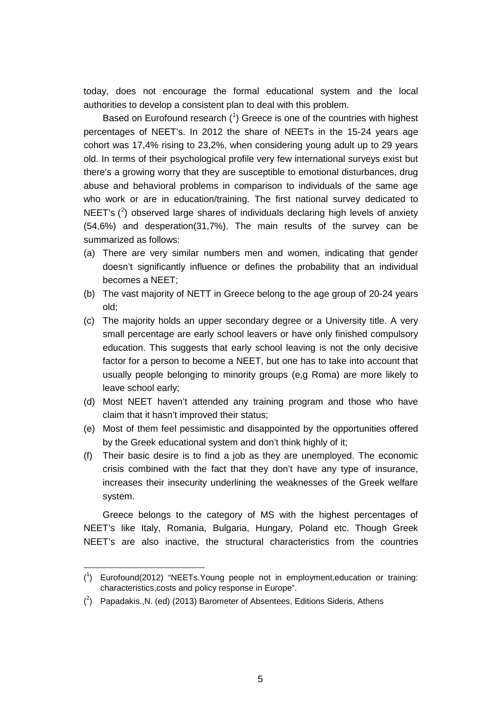today, does not encourage the formal educational system and the local authorities to develop a consistent plan to deal with this problem.

Based on Eurofound research (<sup>[1](#page-4-0)</sup>) Greece is one of the countries with highest percentages of NEET's. In 2012 the share of NEETs in the 15-24 years age cohort was 17,4% rising to 23,2%, when considering young adult up to 29 years old. In terms of their psychological profile very few international surveys exist but there's a growing worry that they are susceptible to emotional disturbances, drug abuse and behavioral problems in comparison to individuals of the same age who work or are in education/training. The first national survey dedicated to NEET's  $(^2)$  $(^2)$  $(^2)$  observed large shares of individuals declaring high levels of anxiety (54,6%) and desperation(31,7%). The main results of the survey can be summarized as follows:

- (a) There are very similar numbers men and women, indicating that gender doesn't significantly influence or defines the probability that an individual becomes a NEET;
- (b) The vast majority of NETT in Greece belong to the age group of 20-24 years old;
- (c) The majority holds an upper secondary degree or a University title. A very small percentage are early school leavers or have only finished compulsory education. This suggests that early school leaving is not the only decisive factor for a person to become a NEET, but one has to take into account that usually people belonging to minority groups (e,g Roma) are more likely to leave school early;
- (d) Most NEET haven't attended any training program and those who have claim that it hasn't improved their status;
- (e) Most of them feel pessimistic and disappointed by the opportunities offered by the Greek educational system and don't think highly of it;
- (f) Their basic desire is to find a job as they are unemployed. The economic crisis combined with the fact that they don't have any type of insurance, increases their insecurity underlining the weaknesses of the Greek welfare system.

Greece belongs to the category of MS with the highest percentages of NEET's like Italy, Romania, Bulgaria, Hungary, Poland etc. Though Greek NEET's are also inactive, the structural characteristics from the countries

 $\overline{a}$ 

<span id="page-4-0"></span><sup>(</sup> 1 ) Eurofound(2012) "NEETs.Young people not in employment,education or training: characteristics,costs and policy response in Europe".

<span id="page-4-1"></span> $(2)$  Papadakis., N. (ed) (2013) Barometer of Absentees, Editions Sideris, Athens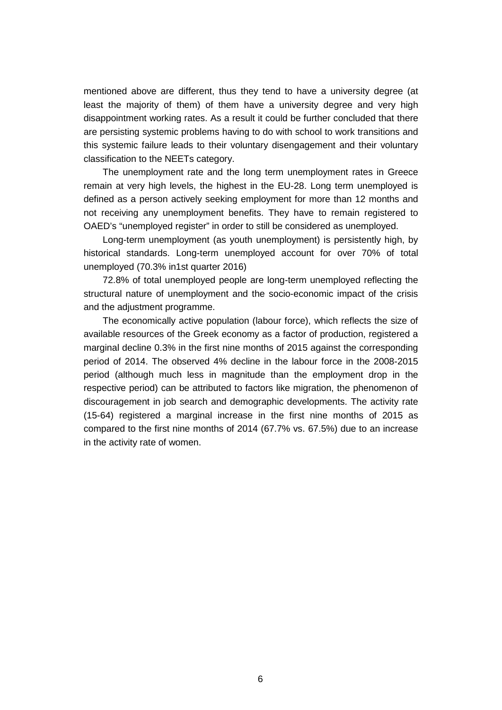mentioned above are different, thus they tend to have a university degree (at least the majority of them) of them have a university degree and very high disappointment working rates. As a result it could be further concluded that there are persisting systemic problems having to do with school to work transitions and this systemic failure leads to their voluntary disengagement and their voluntary classification to the NEETs category.

The unemployment rate and the long term unemployment rates in Greece remain at very high levels, the highest in the EU-28. Long term unemployed is defined as a person actively seeking employment for more than 12 months and not receiving any unemployment benefits. They have to remain registered to OAED's "unemployed register" in order to still be considered as unemployed.

Long-term unemployment (as youth unemployment) is persistently high, by historical standards. Long-term unemployed account for over 70% of total unemployed (70.3% in1st quarter 2016)

72.8% of total unemployed people are long-term unemployed reflecting the structural nature of unemployment and the socio-economic impact of the crisis and the adjustment programme.

The economically active population (labour force), which reflects the size of available resources of the Greek economy as a factor of production, registered a marginal decline 0.3% in the first nine months of 2015 against the corresponding period of 2014. The observed 4% decline in the labour force in the 2008-2015 period (although much less in magnitude than the employment drop in the respective period) can be attributed to factors like migration, the phenomenon of discouragement in job search and demographic developments. The activity rate (15-64) registered a marginal increase in the first nine months of 2015 as compared to the first nine months of 2014 (67.7% vs. 67.5%) due to an increase in the activity rate of women.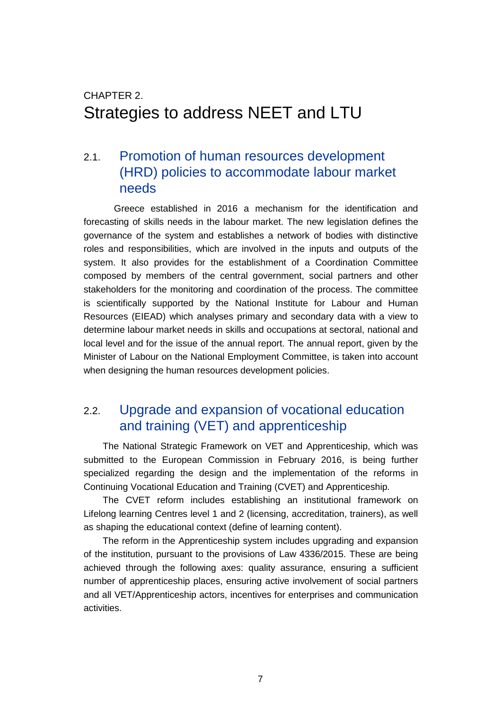## <span id="page-6-0"></span>CHAPTER 2. Strategies to address NEET and LTU

### <span id="page-6-1"></span>2.1. Promotion of human resources development (HRD) policies to accommodate labour market needs

Greece established in 2016 a mechanism for the identification and forecasting of skills needs in the labour market. The new legislation defines the governance of the system and establishes a network of bodies with distinctive roles and responsibilities, which are involved in the inputs and outputs of the system. It also provides for the establishment of a Coordination Committee composed by members of the central government, social partners and other stakeholders for the monitoring and coordination of the process. The committee is scientifically supported by the National Institute for Labour and Human Resources (EIEAD) which analyses primary and secondary data with a view to determine labour market needs in skills and occupations at sectoral, national and local level and for the issue of the annual report. The annual report, given by the Minister of Labour on the National Employment Committee, is taken into account when designing the human resources development policies.

### <span id="page-6-2"></span>2.2. Upgrade and expansion of vocational education and training (VET) and apprenticeship

The National Strategic Framework on VET and Apprenticeship, which was submitted to the European Commission in February 2016, is being further specialized regarding the design and the implementation of the reforms in Continuing Vocational Education and Training (CVET) and Apprenticeship.

The CVET reform includes establishing an institutional framework on Lifelong learning Centres level 1 and 2 (licensing, accreditation, trainers), as well as shaping the educational context (define of learning content).

The reform in the Apprenticeship system includes upgrading and expansion of the institution, pursuant to the provisions of Law 4336/2015. These are being achieved through the following axes: quality assurance, ensuring a sufficient number of apprenticeship places, ensuring active involvement of social partners and all VET/Apprenticeship actors, incentives for enterprises and communication activities.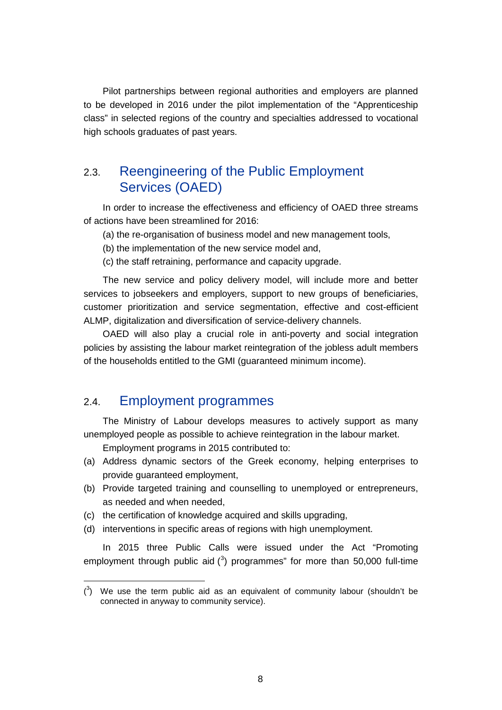Pilot partnerships between regional authorities and employers are planned to be developed in 2016 under the pilot implementation of the "Apprenticeship class" in selected regions of the country and specialties addressed to vocational high schools graduates of past years.

### <span id="page-7-0"></span>2.3. Reengineering of the Public Employment Services (OAED)

In order to increase the effectiveness and efficiency of OAED three streams of actions have been streamlined for 2016:

(a) the re-organisation of business model and new management tools,

(b) the implementation of the new service model and,

(c) the staff retraining, performance and capacity upgrade.

The new service and policy delivery model, will include more and better services to jobseekers and employers, support to new groups of beneficiaries, customer prioritization and service segmentation, effective and cost-efficient ALMP, digitalization and diversification of service-delivery channels.

OAED will also play a crucial role in anti-poverty and social integration policies by assisting the labour market reintegration of the jobless adult members of the households entitled to the GMI (guaranteed minimum income).

#### <span id="page-7-1"></span>2.4. Employment programmes

 $\overline{a}$ 

The Ministry of Labour develops measures to actively support as many unemployed people as possible to achieve reintegration in the labour market.

Employment programs in 2015 contributed to:

- (a) Address dynamic sectors of the Greek economy, helping enterprises to provide guaranteed employment,
- (b) Provide targeted training and counselling to unemployed or entrepreneurs, as needed and when needed,
- (c) the certification of knowledge acquired and skills upgrading,
- (d) interventions in specific areas of regions with high unemployment.

In 2015 three Public Calls were issued under the Act "Promoting employment through public aid  $(^3)$  $(^3)$  $(^3)$  programmes" for more than 50,000 full-time

<span id="page-7-2"></span> $(3)$  We use the term public aid as an equivalent of community labour (shouldn't be connected in anyway to community service).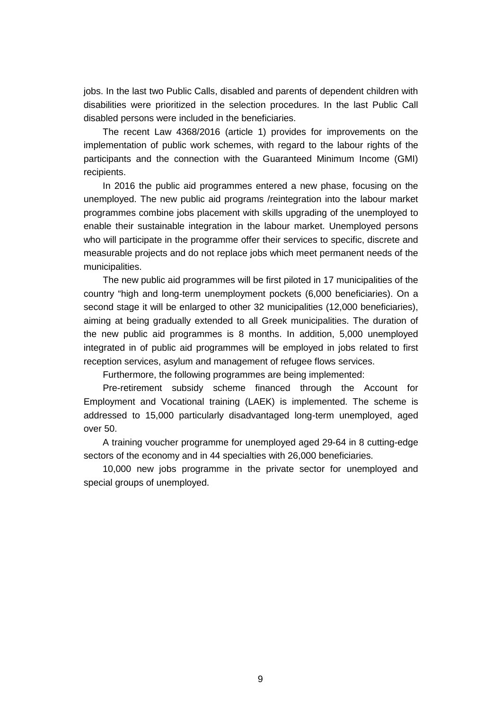jobs. In the last two Public Calls, disabled and parents of dependent children with disabilities were prioritized in the selection procedures. In the last Public Call disabled persons were included in the beneficiaries.

The recent Law 4368/2016 (article 1) provides for improvements on the implementation of public work schemes, with regard to the labour rights of the participants and the connection with the Guaranteed Minimum Income (GMI) recipients.

In 2016 the public aid programmes entered a new phase, focusing on the unemployed. The new public aid programs /reintegration into the labour market programmes combine jobs placement with skills upgrading of the unemployed to enable their sustainable integration in the labour market. Unemployed persons who will participate in the programme offer their services to specific, discrete and measurable projects and do not replace jobs which meet permanent needs of the municipalities.

The new public aid programmes will be first piloted in 17 municipalities of the country "high and long-term unemployment pockets (6,000 beneficiaries). On a second stage it will be enlarged to other 32 municipalities (12,000 beneficiaries), aiming at being gradually extended to all Greek municipalities. The duration of the new public aid programmes is 8 months. In addition, 5,000 unemployed integrated in of public aid programmes will be employed in jobs related to first reception services, asylum and management of refugee flows services.

Furthermore, the following programmes are being implemented:

Pre-retirement subsidy scheme financed through the Account for Employment and Vocational training (LAEK) is implemented. The scheme is addressed to 15,000 particularly disadvantaged long-term unemployed, aged over 50.

A training voucher programme for unemployed aged 29-64 in 8 cutting-edge sectors of the economy and in 44 specialties with 26,000 beneficiaries.

10,000 new jobs programme in the private sector for unemployed and special groups of unemployed.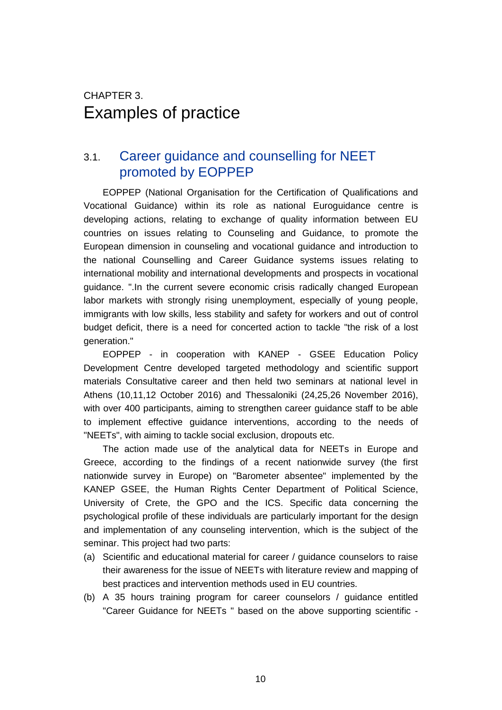## <span id="page-9-0"></span>CHAPTER 3. Εxamples of practice

### <span id="page-9-1"></span>3.1. Career guidance and counselling for NEET promoted by EOPPEP

EOPPEP (National Organisation for the Certification of Qualifications and Vocational Guidance) within its role as national Euroguidance centre is developing actions, relating to exchange of quality information between EU countries on issues relating to Counseling and Guidance, to promote the European dimension in counseling and vocational guidance and introduction to the national Counselling and Career Guidance systems issues relating to international mobility and international developments and prospects in vocational guidance. ".In the current severe economic crisis radically changed European labor markets with strongly rising unemployment, especially of young people, immigrants with low skills, less stability and safety for workers and out of control budget deficit, there is a need for concerted action to tackle "the risk of a lost generation."

EOPPEP - in cooperation with KANEP - GSEE Education Policy Development Centre developed targeted methodology and scientific support materials Consultative career and then held two seminars at national level in Athens (10,11,12 October 2016) and Thessaloniki (24,25,26 November 2016), with over 400 participants, aiming to strengthen career guidance staff to be able to implement effective guidance interventions, according to the needs of "NEETs", with aiming to tackle social exclusion, dropouts etc.

The action made use of the analytical data for NEETs in Europe and Greece, according to the findings of a recent nationwide survey (the first nationwide survey in Europe) on "Barometer absentee" implemented by the KANEP GSEE, the Human Rights Center Department of Political Science, University of Crete, the GPO and the ICS. Specific data concerning the psychological profile of these individuals are particularly important for the design and implementation of any counseling intervention, which is the subject of the seminar. This project had two parts:

- (a) Scientific and educational material for career / guidance counselors to raise their awareness for the issue of NEETs with literature review and mapping of best practices and intervention methods used in EU countries.
- (b) A 35 hours training program for career counselors / guidance entitled "Career Guidance for NEETs " based on the above supporting scientific -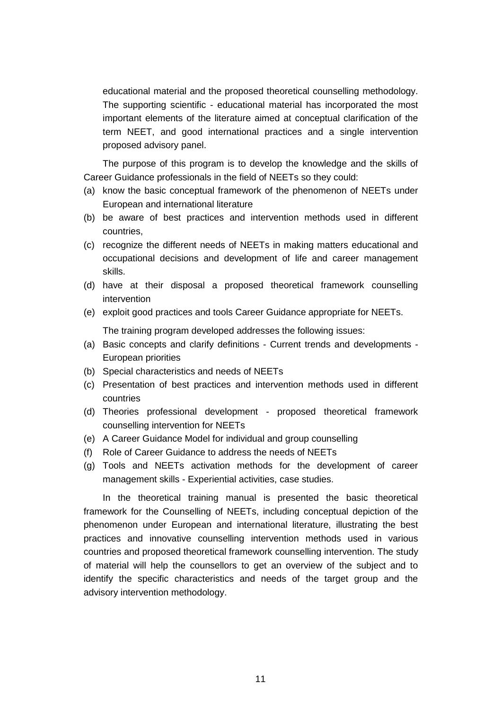educational material and the proposed theoretical counselling methodology. The supporting scientific - educational material has incorporated the most important elements of the literature aimed at conceptual clarification of the term NEET, and good international practices and a single intervention proposed advisory panel.

The purpose of this program is to develop the knowledge and the skills of Career Guidance professionals in the field of NEETs so they could:

- (a) know the basic conceptual framework of the phenomenon of NEETs under European and international literature
- (b) be aware of best practices and intervention methods used in different countries,
- (c) recognize the different needs of NEETs in making matters educational and occupational decisions and development of life and career management skills.
- (d) have at their disposal a proposed theoretical framework counselling intervention
- (e) exploit good practices and tools Career Guidance appropriate for NEETs.

The training program developed addresses the following issues:

- (a) Basic concepts and clarify definitions Current trends and developments European priorities
- (b) Special characteristics and needs of NEETs
- (c) Presentation of best practices and intervention methods used in different countries
- (d) Theories professional development proposed theoretical framework counselling intervention for NEETs
- (e) A Career Guidance Model for individual and group counselling
- (f) Role of Career Guidance to address the needs of NEETs
- (g) Tools and NEETs activation methods for the development of career management skills - Experiential activities, case studies.

In the theoretical training manual is presented the basic theoretical framework for the Counselling of NEETs, including conceptual depiction of the phenomenon under European and international literature, illustrating the best practices and innovative counselling intervention methods used in various countries and proposed theoretical framework counselling intervention. The study of material will help the counsellors to get an overview of the subject and to identify the specific characteristics and needs of the target group and the advisory intervention methodology.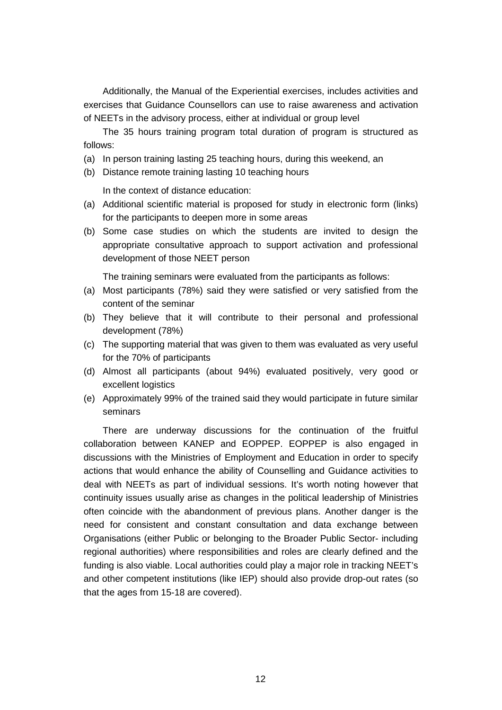Additionally, the Manual of the Experiential exercises, includes activities and exercises that Guidance Counsellors can use to raise awareness and activation of NEETs in the advisory process, either at individual or group level

The 35 hours training program total duration of program is structured as follows:

- (a) In person training lasting 25 teaching hours, during this weekend, an
- (b) Distance remote training lasting 10 teaching hours

In the context of distance education:

- (a) Additional scientific material is proposed for study in electronic form (links) for the participants to deepen more in some areas
- (b) Some case studies on which the students are invited to design the appropriate consultative approach to support activation and professional development of those NEET person

The training seminars were evaluated from the participants as follows:

- (a) Most participants (78%) said they were satisfied or very satisfied from the content of the seminar
- (b) They believe that it will contribute to their personal and professional development (78%)
- (c) The supporting material that was given to them was evaluated as very useful for the 70% of participants
- (d) Almost all participants (about 94%) evaluated positively, very good or excellent logistics
- (e) Approximately 99% of the trained said they would participate in future similar seminars

There are underway discussions for the continuation of the fruitful collaboration between KANEP and EOPPEP. EOPPEP is also engaged in discussions with the Ministries of Employment and Education in order to specify actions that would enhance the ability of Counselling and Guidance activities to deal with NEETs as part of individual sessions. It's worth noting however that continuity issues usually arise as changes in the political leadership of Ministries often coincide with the abandonment of previous plans. Another danger is the need for consistent and constant consultation and data exchange between Organisations (either Public or belonging to the Broader Public Sector- including regional authorities) where responsibilities and roles are clearly defined and the funding is also viable. Local authorities could play a major role in tracking NEET's and other competent institutions (like IEP) should also provide drop-out rates (so that the ages from 15-18 are covered).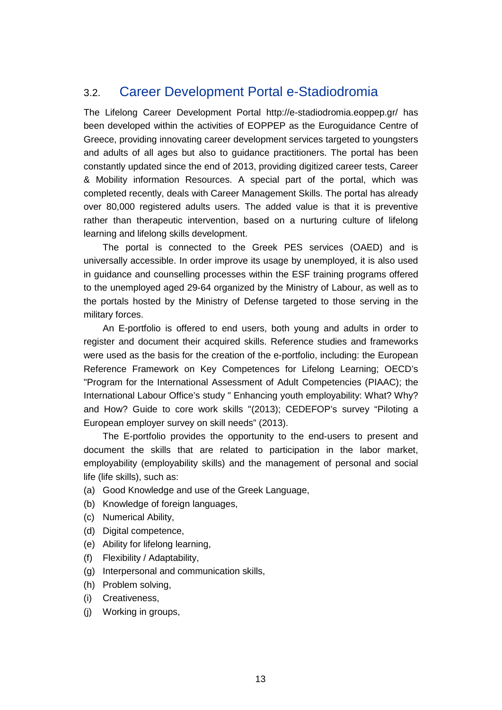## <span id="page-12-0"></span>3.2. Career Development Portal e-Stadiodromia

The Lifelong Career Development Portal http://e-stadiodromia.eoppep.gr/ has been developed within the activities of EOPPEP as the Euroguidance Centre of Greece, providing innovating career development services targeted to youngsters and adults of all ages but also to guidance practitioners. The portal has been constantly updated since the end of 2013, providing digitized career tests, Career & Mobility information Resources. A special part of the portal, which was completed recently, deals with Career Management Skills. The portal has already over 80,000 registered adults users. The added value is that it is preventive rather than therapeutic intervention, based on a nurturing culture of lifelong learning and lifelong skills development.

The portal is connected to the Greek PES services (OAED) and is universally accessible. In order improve its usage by unemployed, it is also used in guidance and counselling processes within the ESF training programs offered to the unemployed aged 29-64 organized by the Ministry of Labour, as well as to the portals hosted by the Ministry of Defense targeted to those serving in the military forces.

An E-portfolio is offered to end users, both young and adults in order to register and document their acquired skills. Reference studies and frameworks were used as the basis for the creation of the e-portfolio, including: the European Reference Framework on Key Competences for Lifelong Learning; OECD's "Program for the International Assessment of Adult Competencies (PIAAC); the International Labour Office's study " Enhancing youth employability: What? Why? and How? Guide to core work skills "(2013); CEDEFOP's survey "Piloting a European employer survey on skill needs" (2013).

The E-portfolio provides the opportunity to the end-users to present and document the skills that are related to participation in the labor market, employability (employability skills) and the management of personal and social life (life skills), such as:

- (a) Good Knowledge and use of the Greek Language,
- (b) Knowledge of foreign languages,
- (c) Numerical Ability,
- (d) Digital competence,
- (e) Ability for lifelong learning,
- (f) Flexibility / Adaptability,
- (g) Interpersonal and communication skills,
- (h) Problem solving,
- (i) Creativeness,
- (j) Working in groups,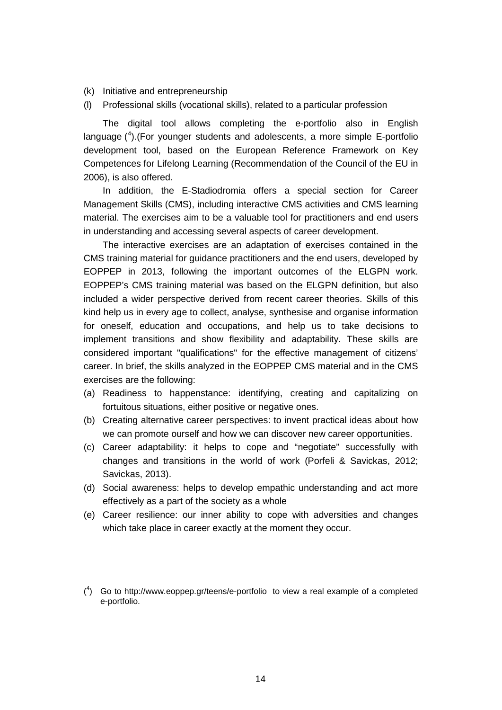(k) Initiative and entrepreneurship

 $\overline{a}$ 

(l) Professional skills (vocational skills), related to a particular profession

The digital tool allows completing the e-portfolio also in English language ( [4](#page-13-0) ).(For younger students and adolescents, a more simple E-portfolio development tool, based on the European Reference Framework on Key Competences for Lifelong Learning (Recommendation of the Council of the EU in 2006), is also offered.

In addition, the E-Stadiodromia offers a special section for Career Management Skills (CMS), including interactive CMS activities and CMS learning material. The exercises aim to be a valuable tool for practitioners and end users in understanding and accessing several aspects of career development.

The interactive exercises are an adaptation of exercises contained in the CMS training material for guidance practitioners and the end users, developed by EOPPEP in 2013, following the important outcomes of the ELGPN work. EOPPEP's CMS training material was based on the ELGPN definition, but also included a wider perspective derived from recent career theories. Skills of this kind help us in every age to collect, analyse, synthesise and organise information for oneself, education and occupations, and help us to take decisions to implement transitions and show flexibility and adaptability. These skills are considered important "qualifications" for the effective management of citizens' career. In brief, the skills analyzed in the EOPPEP CMS material and in the CMS exercises are the following:

- (a) Readiness to happenstance: identifying, creating and capitalizing on fortuitous situations, either positive or negative ones.
- (b) Creating alternative career perspectives: to invent practical ideas about how we can promote ourself and how we can discover new career opportunities.
- (c) Career adaptability: it helps to cope and "negotiate" successfully with changes and transitions in the world of work (Porfeli & Savickas, 2012; Savickas, 2013).
- (d) Social awareness: helps to develop empathic understanding and act more effectively as a part of the society as a whole
- (e) Career resilience: our inner ability to cope with adversities and changes which take place in career exactly at the moment they occur.

<span id="page-13-0"></span> $(4)$  Go to http://www.eoppep.gr/teens/e-portfolio to view a real example of a completed e-portfolio.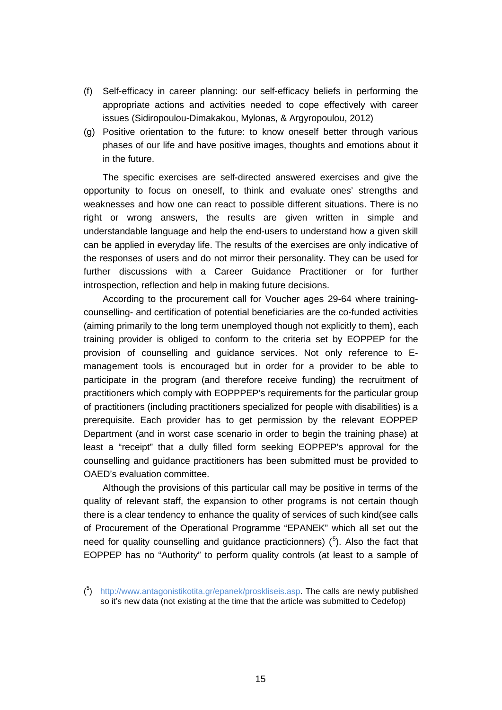- (f) Self-efficacy in career planning: our self-efficacy beliefs in performing the appropriate actions and activities needed to cope effectively with career issues (Sidiropoulou-Dimakakou, Mylonas, & Argyropoulou, 2012)
- (g) Positive orientation to the future: to know oneself better through various phases of our life and have positive images, thoughts and emotions about it in the future.

The specific exercises are self-directed answered exercises and give the opportunity to focus on oneself, to think and evaluate ones' strengths and weaknesses and how one can react to possible different situations. There is no right or wrong answers, the results are given written in simple and understandable language and help the end-users to understand how a given skill can be applied in everyday life. The results of the exercises are only indicative of the responses of users and do not mirror their personality. They can be used for further discussions with a Career Guidance Practitioner or for further introspection, reflection and help in making future decisions.

According to the procurement call for Voucher ages 29-64 where trainingcounselling- and certification of potential beneficiaries are the co-funded activities (aiming primarily to the long term unemployed though not explicitly to them), each training provider is obliged to conform to the criteria set by EOPPEP for the provision of counselling and guidance services. Not only reference to Emanagement tools is encouraged but in order for a provider to be able to participate in the program (and therefore receive funding) the recruitment of practitioners which comply with EOPPPEP's requirements for the particular group of practitioners (including practitioners specialized for people with disabilities) is a prerequisite. Each provider has to get permission by the relevant EOPPEP Department (and in worst case scenario in order to begin the training phase) at least a "receipt" that a dully filled form seeking EOPPEP's approval for the counselling and guidance practitioners has been submitted must be provided to OAED's evaluation committee.

Although the provisions of this particular call may be positive in terms of the quality of relevant staff, the expansion to other programs is not certain though there is a clear tendency to enhance the quality of services of such kind(see calls of Procurement of the Operational Programme "EPANEK" which all set out the need for quality counselling and guidance practicionners)  $(^5)$  $(^5)$  $(^5)$ . Also the fact that EOPPEP has no "Authority" to perform quality controls (at least to a sample of

 $\overline{a}$ 

<span id="page-14-0"></span><sup>(&</sup>lt;sup>5</sup>) [http://www.antagonistikotita.gr/epanek/proskliseis.asp.](http://www.antagonistikotita.gr/epanek/proskliseis.asp) The calls are newly published so it's new data (not existing at the time that the article was submitted to Cedefop)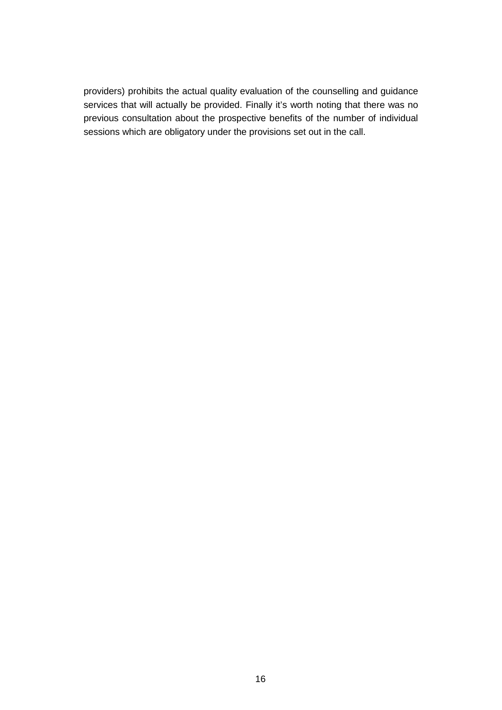providers) prohibits the actual quality evaluation of the counselling and guidance services that will actually be provided. Finally it's worth noting that there was no previous consultation about the prospective benefits of the number of individual sessions which are obligatory under the provisions set out in the call.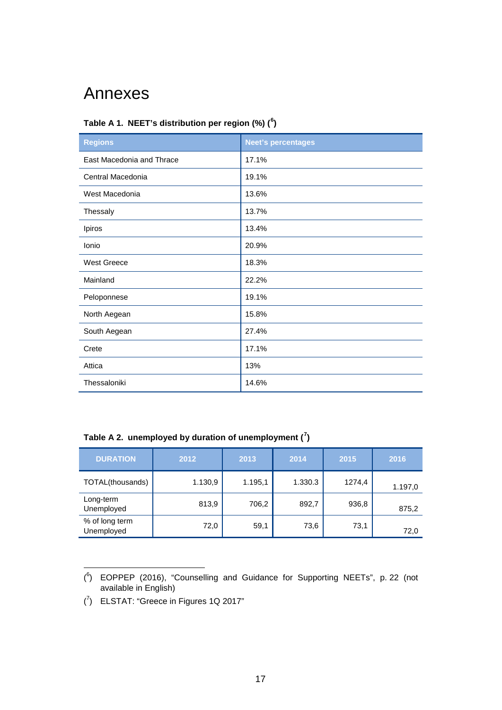## <span id="page-16-0"></span>Annexes

#### **Table A 1. NEET's distribution per region (%) ( [6](#page-16-1) )**

| <b>Regions</b>            | <b>Neet's percentages</b> |  |  |  |
|---------------------------|---------------------------|--|--|--|
| East Macedonia and Thrace | 17.1%                     |  |  |  |
| Central Macedonia         | 19.1%                     |  |  |  |
| West Macedonia            | 13.6%                     |  |  |  |
| Thessaly                  | 13.7%                     |  |  |  |
| Ipiros                    | 13.4%                     |  |  |  |
| Ionio                     | 20.9%                     |  |  |  |
| <b>West Greece</b>        | 18.3%                     |  |  |  |
| Mainland                  | 22.2%                     |  |  |  |
| Peloponnese               | 19.1%                     |  |  |  |
| North Aegean              | 15.8%                     |  |  |  |
| South Aegean              | 27.4%                     |  |  |  |
| Crete                     | 17.1%                     |  |  |  |
| Attica                    | 13%                       |  |  |  |
| Thessaloniki              | 14.6%                     |  |  |  |

**Table A 2. unemployed by duration of unemployment ( [7](#page-16-2) )**

| <b>DURATION</b>              | 2012    | 2013    | 2014    | 2015   | 2016    |
|------------------------------|---------|---------|---------|--------|---------|
| TOTAL(thousands)             | 1.130,9 | 1.195,1 | 1.330.3 | 1274,4 | 1.197,0 |
| Long-term<br>Unemployed      | 813,9   | 706,2   | 892,7   | 936,8  | 875,2   |
| % of long term<br>Unemployed | 72,0    | 59,1    | 73,6    | 73,1   | 72,0    |

<span id="page-16-1"></span> $\overline{a}$  $(^{6})$  EOPPEP (2016), "Counselling and Guidance for Supporting NEETs", p. 22 (not available in English)

<span id="page-16-2"></span> $(7)$  ELSTAT: "Greece in Figures 1Q 2017"